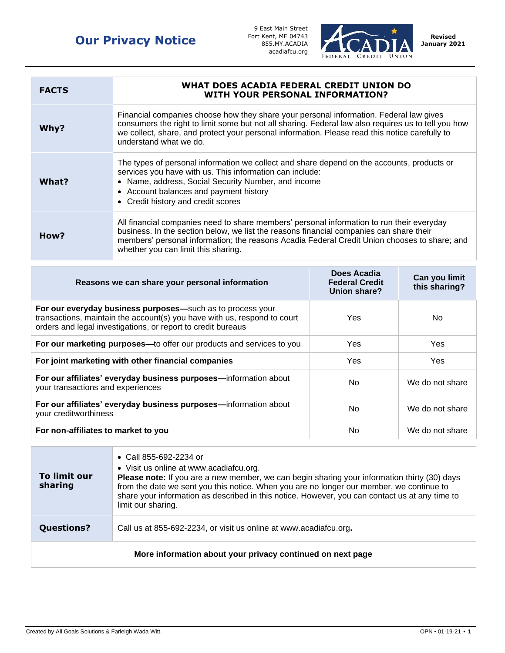## **Our Privacy Notice**

9 East Main Street Fort Kent, ME 04743 855.MY.ACADIA acadiafcu.org



| <b>FACTS</b> | WHAT DOES ACADIA FEDERAL CREDIT UNION DO<br><b>WITH YOUR PERSONAL INFORMATION?</b>                                                                                                                                                                                                                                          |
|--------------|-----------------------------------------------------------------------------------------------------------------------------------------------------------------------------------------------------------------------------------------------------------------------------------------------------------------------------|
| Why?         | Financial companies choose how they share your personal information. Federal law gives<br>consumers the right to limit some but not all sharing. Federal law also requires us to tell you how<br>we collect, share, and protect your personal information. Please read this notice carefully to<br>understand what we do.   |
| What?        | The types of personal information we collect and share depend on the accounts, products or<br>services you have with us. This information can include:<br>• Name, address, Social Security Number, and income<br>• Account balances and payment history<br>• Credit history and credit scores                               |
| How?         | All financial companies need to share members' personal information to run their everyday<br>business. In the section below, we list the reasons financial companies can share their<br>members' personal information; the reasons Acadia Federal Credit Union chooses to share; and<br>whether you can limit this sharing. |

| Reasons we can share your personal information                                                                                                                                                         | Does Acadia<br><b>Federal Credit</b><br>Union share? | Can you limit<br>this sharing? |
|--------------------------------------------------------------------------------------------------------------------------------------------------------------------------------------------------------|------------------------------------------------------|--------------------------------|
| For our everyday business purposes—such as to process your<br>transactions, maintain the account(s) you have with us, respond to court<br>orders and legal investigations, or report to credit bureaus | Yes                                                  | No.                            |
| For our marketing purposes-to offer our products and services to you                                                                                                                                   | Yes                                                  | Yes                            |
| For joint marketing with other financial companies                                                                                                                                                     | Yes                                                  | Yes                            |
| For our affiliates' everyday business purposes-information about<br>your transactions and experiences                                                                                                  | No.                                                  | We do not share                |
| For our affiliates' everyday business purposes-information about<br>your creditworthiness                                                                                                              | No.                                                  | We do not share                |
| For non-affiliates to market to you                                                                                                                                                                    | No.                                                  | We do not share                |

| To limit our<br>sharing                                    | • Call 855-692-2234 or<br>• Visit us online at www.acadiafcu.org.<br>Please note: If you are a new member, we can begin sharing your information thirty (30) days<br>from the date we sent you this notice. When you are no longer our member, we continue to<br>share your information as described in this notice. However, you can contact us at any time to<br>limit our sharing. |  |
|------------------------------------------------------------|---------------------------------------------------------------------------------------------------------------------------------------------------------------------------------------------------------------------------------------------------------------------------------------------------------------------------------------------------------------------------------------|--|
| <b>Questions?</b>                                          | Call us at 855-692-2234, or visit us online at www.acadiafcu.org.                                                                                                                                                                                                                                                                                                                     |  |
| More information about your privacy continued on next page |                                                                                                                                                                                                                                                                                                                                                                                       |  |